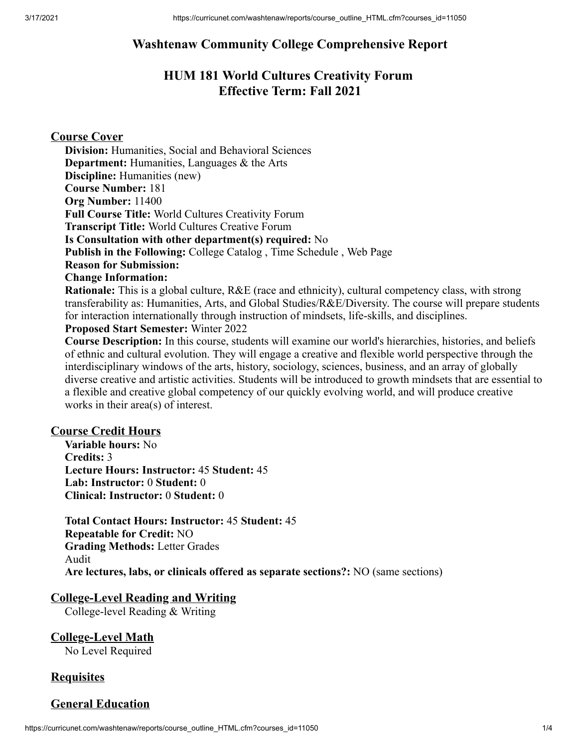## **Washtenaw Community College Comprehensive Report**

# **HUM 181 World Cultures Creativity Forum Effective Term: Fall 2021**

## **Course Cover**

**Division:** Humanities, Social and Behavioral Sciences **Department:** Humanities, Languages & the Arts **Discipline:** Humanities (new) **Course Number:** 181 **Org Number:** 11400 **Full Course Title:** World Cultures Creativity Forum **Transcript Title:** World Cultures Creative Forum **Is Consultation with other department(s) required:** No **Publish in the Following:** College Catalog , Time Schedule , Web Page **Reason for Submission: Change Information: Rationale:** This is a global culture, R&E (race and ethnicity), cultural competency class, with strong

transferability as: Humanities, Arts, and Global Studies/R&E/Diversity. The course will prepare students for interaction internationally through instruction of mindsets, life-skills, and disciplines. **Proposed Start Semester:** Winter 2022

**Course Description:** In this course, students will examine our world's hierarchies, histories, and beliefs of ethnic and cultural evolution. They will engage a creative and flexible world perspective through the interdisciplinary windows of the arts, history, sociology, sciences, business, and an array of globally diverse creative and artistic activities. Students will be introduced to growth mindsets that are essential to a flexible and creative global competency of our quickly evolving world, and will produce creative works in their area(s) of interest.

## **Course Credit Hours**

**Variable hours:** No **Credits:** 3 **Lecture Hours: Instructor:** 45 **Student:** 45 **Lab: Instructor:** 0 **Student:** 0 **Clinical: Instructor:** 0 **Student:** 0

**Total Contact Hours: Instructor:** 45 **Student:** 45 **Repeatable for Credit:** NO **Grading Methods:** Letter Grades Audit **Are lectures, labs, or clinicals offered as separate sections?:** NO (same sections)

#### **College-Level Reading and Writing**

College-level Reading & Writing

# **College-Level Math**

No Level Required

## **Requisites**

## **General Education**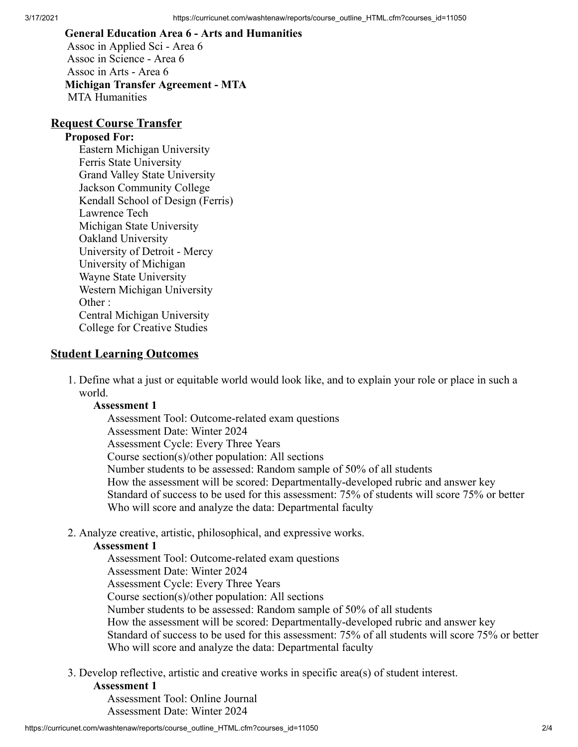# **General Education Area 6 - Arts and Humanities**

Assoc in Applied Sci - Area 6 Assoc in Science - Area 6 Assoc in Arts - Area 6 **Michigan Transfer Agreement - MTA** MTA Humanities

#### **Request Course Transfer**

#### **Proposed For:**

Eastern Michigan University Ferris State University Grand Valley State University Jackson Community College Kendall School of Design (Ferris) Lawrence Tech Michigan State University Oakland University University of Detroit - Mercy University of Michigan Wayne State University Western Michigan University Other : Central Michigan University College for Creative Studies

#### **Student Learning Outcomes**

1. Define what a just or equitable world would look like, and to explain your role or place in such a world.

#### **Assessment 1**

Assessment Tool: Outcome-related exam questions Assessment Date: Winter 2024 Assessment Cycle: Every Three Years Course section(s)/other population: All sections Number students to be assessed: Random sample of 50% of all students How the assessment will be scored: Departmentally-developed rubric and answer key Standard of success to be used for this assessment: 75% of students will score 75% or better Who will score and analyze the data: Departmental faculty

2. Analyze creative, artistic, philosophical, and expressive works.

#### **Assessment 1**

Assessment Tool: Outcome-related exam questions Assessment Date: Winter 2024 Assessment Cycle: Every Three Years Course section(s)/other population: All sections Number students to be assessed: Random sample of 50% of all students How the assessment will be scored: Departmentally-developed rubric and answer key Standard of success to be used for this assessment: 75% of all students will score 75% or better Who will score and analyze the data: Departmental faculty

3. Develop reflective, artistic and creative works in specific area(s) of student interest.

#### **Assessment 1**

Assessment Tool: Online Journal Assessment Date: Winter 2024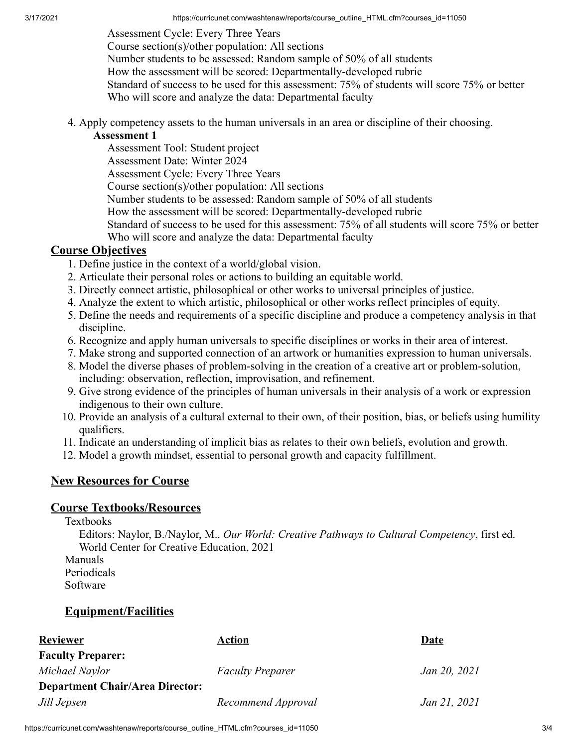3/17/2021 https://curricunet.com/washtenaw/reports/course\_outline\_HTML.cfm?courses\_id=11050

Assessment Cycle: Every Three Years Course section(s)/other population: All sections Number students to be assessed: Random sample of 50% of all students How the assessment will be scored: Departmentally-developed rubric Standard of success to be used for this assessment: 75% of students will score 75% or better Who will score and analyze the data: Departmental faculty

4. Apply competency assets to the human universals in an area or discipline of their choosing.

#### **Assessment 1**

Assessment Tool: Student project

Assessment Date: Winter 2024

Assessment Cycle: Every Three Years

Course section(s)/other population: All sections

Number students to be assessed: Random sample of 50% of all students

How the assessment will be scored: Departmentally-developed rubric

Standard of success to be used for this assessment: 75% of all students will score 75% or better Who will score and analyze the data: Departmental faculty

## **Course Objectives**

- 1. Define justice in the context of a world/global vision.
- 2. Articulate their personal roles or actions to building an equitable world.
- 3. Directly connect artistic, philosophical or other works to universal principles of justice.
- 4. Analyze the extent to which artistic, philosophical or other works reflect principles of equity.
- 5. Define the needs and requirements of a specific discipline and produce a competency analysis in that discipline.
- 6. Recognize and apply human universals to specific disciplines or works in their area of interest.
- 7. Make strong and supported connection of an artwork or humanities expression to human universals.
- 8. Model the diverse phases of problem-solving in the creation of a creative art or problem-solution, including: observation, reflection, improvisation, and refinement.
- 9. Give strong evidence of the principles of human universals in their analysis of a work or expression indigenous to their own culture.
- 10. Provide an analysis of a cultural external to their own, of their position, bias, or beliefs using humility qualifiers.
- 11. Indicate an understanding of implicit bias as relates to their own beliefs, evolution and growth.
- 12. Model a growth mindset, essential to personal growth and capacity fulfillment.

## **New Resources for Course**

## **Course Textbooks/Resources**

Textbooks

Editors: Naylor, B./Naylor, M.. *Our World: Creative Pathways to Cultural Competency*, first ed. World Center for Creative Education, 2021

Manuals Periodicals

Software

## **Equipment/Facilities**

| <b>Reviewer</b>                        | <b>Action</b>           | Date         |
|----------------------------------------|-------------------------|--------------|
| <b>Faculty Preparer:</b>               |                         |              |
| Michael Naylor                         | <b>Faculty Preparer</b> | Jan 20, 2021 |
| <b>Department Chair/Area Director:</b> |                         |              |
| Jill Jepsen                            | Recommend Approval      | Jan 21, 2021 |